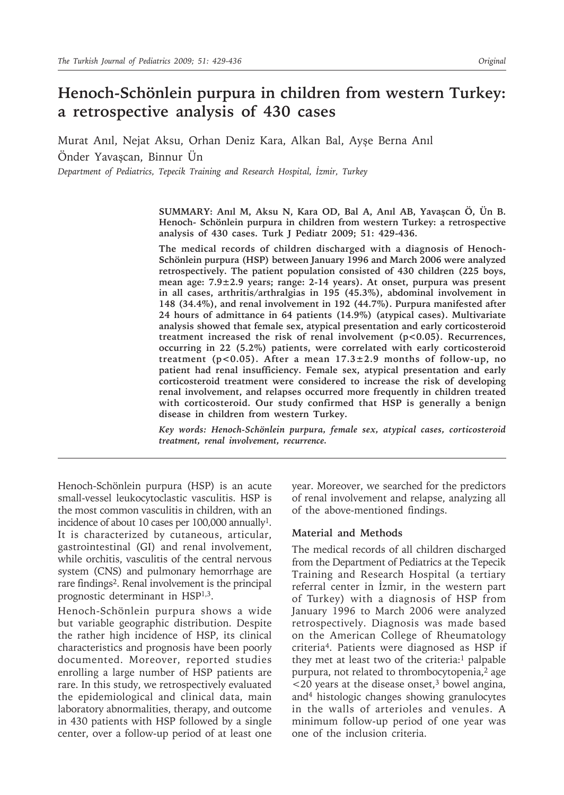# **Henoch-Schönlein purpura in children from western Turkey: a retrospective analysis of 430 cases**

Murat Anıl, Nejat Aksu, Orhan Deniz Kara, Alkan Bal, Ayşe Berna Anıl Önder Yavaşcan, Binnur Ün

*Department of Pediatrics, Tepecik Training and Research Hospital, İzmir, Turkey*

**SUMMARY: Anıl M, Aksu N, Kara OD, Bal A, Anıl AB, Yavaşcan Ö, Ün B. Henoch- Schönlein purpura in children from western Turkey: a retrospective analysis of 430 cases. Turk J Pediatr 2009; 51: 429-436.**

**The medical records of children discharged with a diagnosis of Henoch-Schönlein purpura (HSP) between January 1996 and March 2006 were analyzed retrospectively. The patient population consisted of 430 children (225 boys, mean age: 7.9±2.9 years; range: 2-14 years). At onset, purpura was present in all cases, arthritis/arthralgias in 195 (45.3%), abdominal involvement in 148 (34.4%), and renal involvement in 192 (44.7%). Purpura manifested after 24 hours of admittance in 64 patients (14.9%) (atypical cases). Multivariate analysis showed that female sex, atypical presentation and early corticosteroid treatment increased the risk of renal involvement (p<0.05). Recurrences, occurring in 22 (5.2%) patients, were correlated with early corticosteroid treatment (p<0.05). After a mean 17.3±2.9 months of follow-up, no patient had renal insufficiency. Female sex, atypical presentation and early corticosteroid treatment were considered to increase the risk of developing renal involvement, and relapses occurred more frequently in children treated with corticosteroid. Our study confirmed that HSP is generally a benign disease in children from western Turkey.**

*Key words: Henoch-Schönlein purpura, female sex, atypical cases, corticosteroid treatment, renal involvement, recurrence.*

Henoch-Schönlein purpura (HSP) is an acute small-vessel leukocytoclastic vasculitis. HSP is the most common vasculitis in children, with an incidence of about 10 cases per  $100,000$  annually<sup>1</sup>. It is characterized by cutaneous, articular, gastrointestinal (GI) and renal involvement, while orchitis, vasculitis of the central nervous system (CNS) and pulmonary hemorrhage are rare findings<sup>2</sup>. Renal involvement is the principal prognostic determinant in HSP1,3.

Henoch-Schönlein purpura shows a wide but variable geographic distribution. Despite the rather high incidence of HSP, its clinical characteristics and prognosis have been poorly documented. Moreover, reported studies enrolling a large number of HSP patients are rare. In this study, we retrospectively evaluated the epidemiological and clinical data, main laboratory abnormalities, therapy, and outcome in 430 patients with HSP followed by a single center, over a follow-up period of at least one

year. Moreover, we searched for the predictors of renal involvement and relapse, analyzing all of the above-mentioned findings.

### **Material and Methods**

The medical records of all children discharged from the Department of Pediatrics at the Tepecik Training and Research Hospital (a tertiary referral center in İzmir, in the western part of Turkey) with a diagnosis of HSP from January 1996 to March 2006 were analyzed retrospectively. Diagnosis was made based on the American College of Rheumatology criteria4. Patients were diagnosed as HSP if they met at least two of the criteria:<sup>1</sup> palpable purpura, not related to thrombocytopenia,<sup>2</sup> age  $\leq$ 20 years at the disease onset,<sup>3</sup> bowel angina, and4 histologic changes showing granulocytes in the walls of arterioles and venules. A minimum follow-up period of one year was one of the inclusion criteria.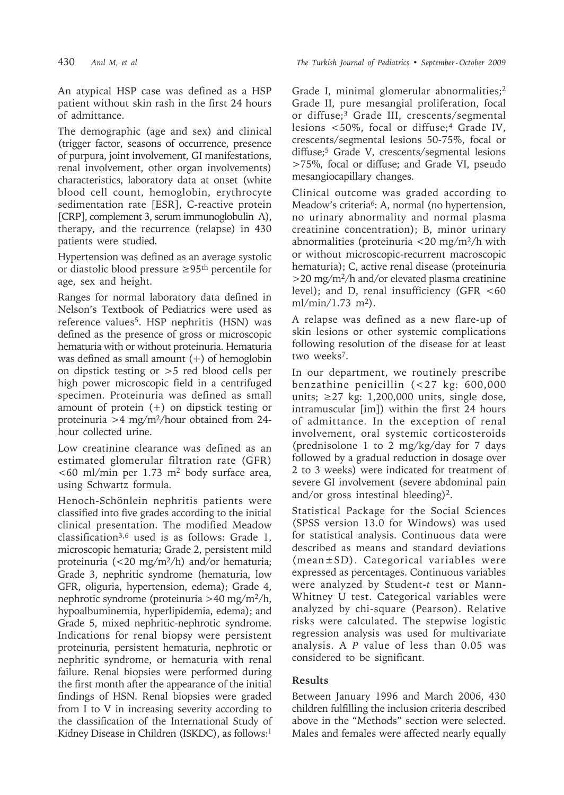An atypical HSP case was defined as a HSP patient without skin rash in the first 24 hours of admittance.

The demographic (age and sex) and clinical (trigger factor, seasons of occurrence, presence of purpura, joint involvement, GI manifestations, renal involvement, other organ involvements) characteristics, laboratory data at onset (white blood cell count, hemoglobin, erythrocyte sedimentation rate [ESR], C-reactive protein [CRP], complement 3, serum immunoglobulin A), therapy, and the recurrence (relapse) in 430 patients were studied.

Hypertension was defined as an average systolic or diastolic blood pressure ≥95th percentile for age, sex and height.

Ranges for normal laboratory data defined in Nelson's Textbook of Pediatrics were used as reference values<sup>5</sup>. HSP nephritis (HSN) was defined as the presence of gross or microscopic hematuria with or without proteinuria. Hematuria was defined as small amount  $(+)$  of hemoglobin on dipstick testing or >5 red blood cells per high power microscopic field in a centrifuged specimen. Proteinuria was defined as small amount of protein (+) on dipstick testing or proteinuria >4 mg/m2/hour obtained from 24 hour collected urine.

Low creatinine clearance was defined as an estimated glomerular filtration rate (GFR) <60 ml/min per 1.73 m2 body surface area, using Schwartz formula.

Henoch-Schönlein nephritis patients were classified into five grades according to the initial clinical presentation. The modified Meadow classification3,6 used is as follows: Grade 1, microscopic hematuria; Grade 2, persistent mild proteinuria (<20 mg/m<sup>2</sup>/h) and/or hematuria; Grade 3, nephritic syndrome (hematuria, low GFR, oliguria, hypertension, edema); Grade 4, nephrotic syndrome (proteinuria >40 mg/m2/h, hypoalbuminemia, hyperlipidemia, edema); and Grade 5, mixed nephritic-nephrotic syndrome. Indications for renal biopsy were persistent proteinuria, persistent hematuria, nephrotic or nephritic syndrome, or hematuria with renal failure. Renal biopsies were performed during the first month after the appearance of the initial findings of HSN. Renal biopsies were graded from I to V in increasing severity according to the classification of the International Study of Kidney Disease in Children (ISKDC), as follows:<sup>1</sup>

Grade I, minimal glomerular abnormalities;<sup>2</sup> Grade II, pure mesangial proliferation, focal or diffuse;3 Grade III, crescents/segmental lesions <50%, focal or diffuse;4 Grade IV, crescents/segmental lesions 50-75%, focal or diffuse;5 Grade V, crescents/segmental lesions >75%, focal or diffuse; and Grade VI, pseudo mesangiocapillary changes.

Clinical outcome was graded according to Meadow's criteria<sup>6</sup>: A, normal (no hypertension, no urinary abnormality and normal plasma creatinine concentration); B, minor urinary abnormalities (proteinuria  $\langle 20 \text{ mg/m}^2/h \text{ with}$ or without microscopic-recurrent macroscopic hematuria); C, active renal disease (proteinuria >20 mg/m2/h and/or elevated plasma creatinine level); and D, renal insufficiency (GFR  $<60$  $ml/min/1.73$  m<sup>2</sup>).

A relapse was defined as a new flare-up of skin lesions or other systemic complications following resolution of the disease for at least two weeks<sup>7</sup>.

In our department, we routinely prescribe benzathine penicillin (<27 kg: 600,000 units;  $\geq$  27 kg: 1,200,000 units, single dose, intramuscular [im]) within the first 24 hours of admittance. In the exception of renal involvement, oral systemic corticosteroids (prednisolone 1 to 2 mg/kg/day for 7 days followed by a gradual reduction in dosage over 2 to 3 weeks) were indicated for treatment of severe GI involvement (severe abdominal pain and/or gross intestinal bleeding)<sup>2</sup>.

Statistical Package for the Social Sciences (SPSS version 13.0 for Windows) was used for statistical analysis. Continuous data were described as means and standard deviations (mean±SD). Categorical variables were expressed as percentages. Continuous variables were analyzed by Student-*t* test or Mann-Whitney U test. Categorical variables were analyzed by chi-square (Pearson). Relative risks were calculated. The stepwise logistic regression analysis was used for multivariate analysis. A *P* value of less than 0.05 was considered to be significant.

## **Results**

Between January 1996 and March 2006, 430 children fulfilling the inclusion criteria described above in the "Methods" section were selected. Males and females were affected nearly equally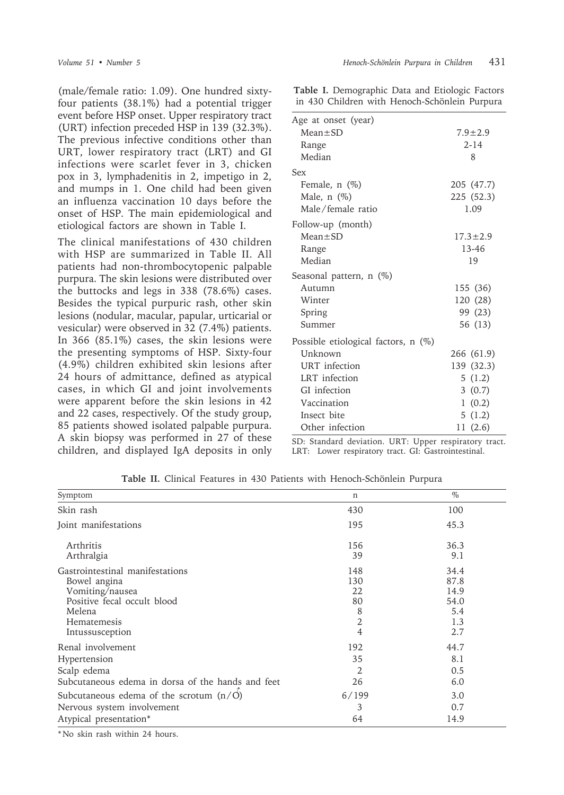(male/female ratio: 1.09). One hundred sixtyfour patients (38.1%) had a potential trigger event before HSP onset. Upper respiratory tract (URT) infection preceded HSP in 139 (32.3%). The previous infective conditions other than URT, lower respiratory tract (LRT) and GI infections were scarlet fever in 3, chicken pox in 3, lymphadenitis in 2, impetigo in 2, and mumps in 1. One child had been given an influenza vaccination 10 days before the onset of HSP. The main epidemiological and etiological factors are shown in Table I.

The clinical manifestations of 430 children with HSP are summarized in Table II. All patients had non-thrombocytopenic palpable purpura. The skin lesions were distributed over the buttocks and legs in 338 (78.6%) cases. Besides the typical purpuric rash, other skin lesions (nodular, macular, papular, urticarial or vesicular) were observed in 32 (7.4%) patients. In 366 (85.1%) cases, the skin lesions were the presenting symptoms of HSP. Sixty-four (4.9%) children exhibited skin lesions after 24 hours of admittance, defined as atypical cases, in which GI and joint involvements were apparent before the skin lesions in 42 and 22 cases, respectively. Of the study group, 85 patients showed isolated palpable purpura. A skin biopsy was performed in 27 of these children, and displayed IgA deposits in only **Table I.** Demographic Data and Etiologic Factors in 430 Children with Henoch-Schönlein Purpura

| Age at onset (year)                   |                |
|---------------------------------------|----------------|
| $Mean \pm SD$                         | $7.9 \pm 2.9$  |
| Range                                 | $2 - 14$       |
| Median                                | 8              |
| Sex                                   |                |
| Female, $n$ $(\%)$                    | 205 (47.7)     |
| Male, $n$ $(\%)$                      | 225 (52.3)     |
| Male/female ratio                     | 1.09           |
| Follow-up (month)                     |                |
| $Mean \pm SD$                         | $17.3 \pm 2.9$ |
| Range                                 | 13-46          |
| Median                                | 19             |
| Seasonal pattern, $n$ (%)             |                |
| Autumn                                | 155 (36)       |
| Winter                                | 120 (28)       |
| Spring                                | 99 (23)        |
| Summer                                | 56 (13)        |
| Possible etiological factors, $n$ (%) |                |
| Unknown                               | 266 (61.9)     |
| URT infection                         | 139 (32.3)     |
| LRT infection                         | 5(1.2)         |
| GI infection                          | 3(0.7)         |
| Vaccination                           | 1(0.2)         |
| Insect bite                           | 5(1.2)         |
| Other infection                       | 11(2.6)        |

SD: Standard deviation. URT: Upper respiratory tract. LRT: Lower respiratory tract. GI: Gastrointestinal.

| Symptom                                           | n              | $\%$ |
|---------------------------------------------------|----------------|------|
| Skin rash                                         | 430            | 100  |
| Joint manifestations                              | 195            | 45.3 |
| Arthritis                                         | 156            | 36.3 |
| Arthralgia                                        | 39             | 9.1  |
| Gastrointestinal manifestations                   | 148            | 34.4 |
| Bowel angina                                      | 130            | 87.8 |
| Vomiting/nausea                                   | 22             | 14.9 |
| Positive fecal occult blood                       | 80             | 54.0 |
| Melena                                            | 8              | 5.4  |
| Hematemesis                                       | $\overline{2}$ | 1.3  |
| Intussusception                                   | 4              | 2.7  |
| Renal involvement                                 | 192            | 44.7 |
| Hypertension                                      | 35             | 8.1  |
| Scalp edema                                       | 2              | 0.5  |
| Subcutaneous edema in dorsa of the hands and feet | 26             | 6.0  |
| Subcutaneous edema of the scrotum $(n/O)$         | 6/199          | 3.0  |
| Nervous system involvement                        | 3              | 0.7  |
| Atypical presentation*                            | 64             | 14.9 |

**Table II.** Clinical Features in 430 Patients with Henoch-Schönlein Purpura

\* No skin rash within 24 hours.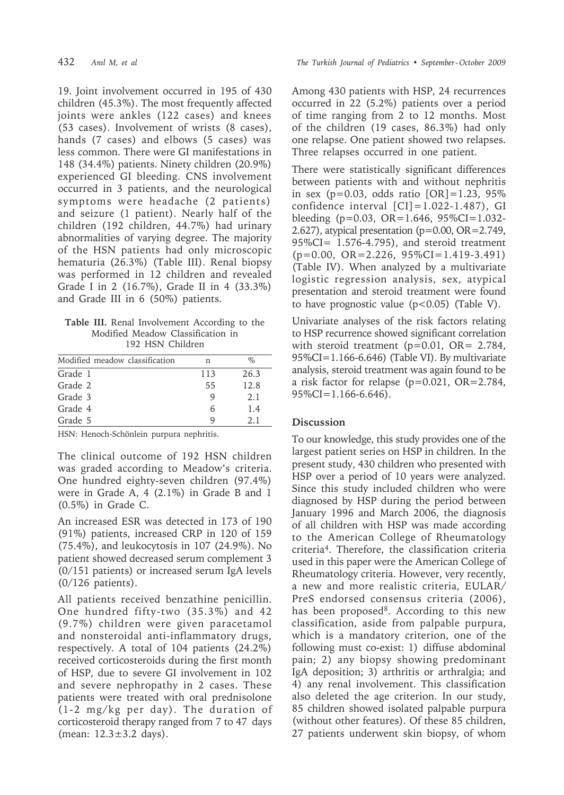19. Joint involvement occurred in 195 of 430 children (45.3%). The most frequently affected joints were ankles (122 cases) and knees (53 cases). Involvement of wrists (8 cases), hands (7 cases) and elbows (5 cases) was less common. There were GI manifestations in 148 (34.4%) patients. Ninety children (20.9%) experienced GI bleeding. CNS involvement occurred in 3 patients, and the neurological symptoms were headache (2 patients) and seizure (1 patient). Nearly half of the children (192 children, 44.7%) had urinary abnormalities of varying degree. The majority of the HSN patients had only microscopic hematuria (26.3%) (Table III). Renal biopsy was performed in 12 children and revealed Grade I in 2 (16.7%), Grade II in 4 (33.3%) and Grade III in 6 (50%) patients.

**Table III.** Renal Involvement According to the Modified Meadow Classification in 192 HSN Children

| Modified meadow classification | n   | $\%$ |
|--------------------------------|-----|------|
| Grade 1                        | 113 | 26.3 |
| Grade 2                        | 55  | 12.8 |
| Grade 3                        |     | 2.1  |
| Grade 4                        | 6   | 1.4  |
| Grade 5                        |     | 21   |

HSN: Henoch-Schönlein purpura nephritis.

The clinical outcome of 192 HSN children was graded according to Meadow's criteria. One hundred eighty-seven children (97.4%) were in Grade A, 4 (2.1%) in Grade B and 1 (0.5%) in Grade C.

An increased ESR was detected in 173 of 190 (91%) patients, increased CRP in 120 of 159 (75.4%), and leukocytosis in 107 (24.9%). No patient showed decreased serum complement 3 (0/151 patients) or increased serum IgA levels (0/126 patients).

All patients received benzathine penicillin. One hundred fifty-two (35.3%) and 42 (9.7%) children were given paracetamol and nonsteroidal anti-inflammatory drugs, respectively. A total of 104 patients (24.2%) received corticosteroids during the first month of HSP, due to severe GI involvement in 102 and severe nephropathy in 2 cases. These patients were treated with oral prednisolone (1-2 mg/kg per day). The duration of corticosteroid therapy ranged from 7 to 47 days (mean: 12.3±3.2 days).

Among 430 patients with HSP, 24 recurrences occurred in 22 (5.2%) patients over a period of time ranging from 2 to 12 months. Most of the children (19 cases, 86.3%) had only one relapse. One patient showed two relapses. Three relapses occurred in one patient.

There were statistically significant differences between patients with and without nephritis in sex ( $p=0.03$ , odds ratio  $[OR] = 1.23$ , 95% confidence interval  $\text{[CI]} = 1.022 - 1.487$ , GI bleeding (p=0.03, OR=1.646,  $95\%CI = 1.032$ -2.627), atypical presentation (p=0.00, OR=2.749, 95%CI= 1.576-4.795), and steroid treatment (p=0.00, OR=2.226, 95%CI=1.419-3.491) (Table IV). When analyzed by a multivariate logistic regression analysis, sex, atypical presentation and steroid treatment were found to have prognostic value  $(p<0.05)$  (Table V).

Univariate analyses of the risk factors relating to HSP recurrence showed significant correlation with steroid treatment (p=0.01, OR= 2.784, 95%CI=1.166-6.646) (Table VI). By multivariate analysis, steroid treatment was again found to be a risk factor for relapse (p=0.021, OR=2.784,  $95\%CI=1.166-6.646$ .

### **Discussion**

To our knowledge, this study provides one of the largest patient series on HSP in children. In the present study, 430 children who presented with HSP over a period of 10 years were analyzed. Since this study included children who were diagnosed by HSP during the period between January 1996 and March 2006, the diagnosis of all children with HSP was made according to the American College of Rheumatology criteria4. Therefore, the classification criteria used in this paper were the American College of Rheumatology criteria. However, very recently, a new and more realistic criteria, EULAR/ PreS endorsed consensus criteria (2006), has been proposed<sup>8</sup>. According to this new classification, aside from palpable purpura, which is a mandatory criterion, one of the following must co-exist: 1) diffuse abdominal pain; 2) any biopsy showing predominant IgA deposition; 3) arthritis or arthralgia; and 4) any renal involvement. This classification also deleted the age criterion. In our study, 85 children showed isolated palpable purpura (without other features). Of these 85 children, 27 patients underwent skin biopsy, of whom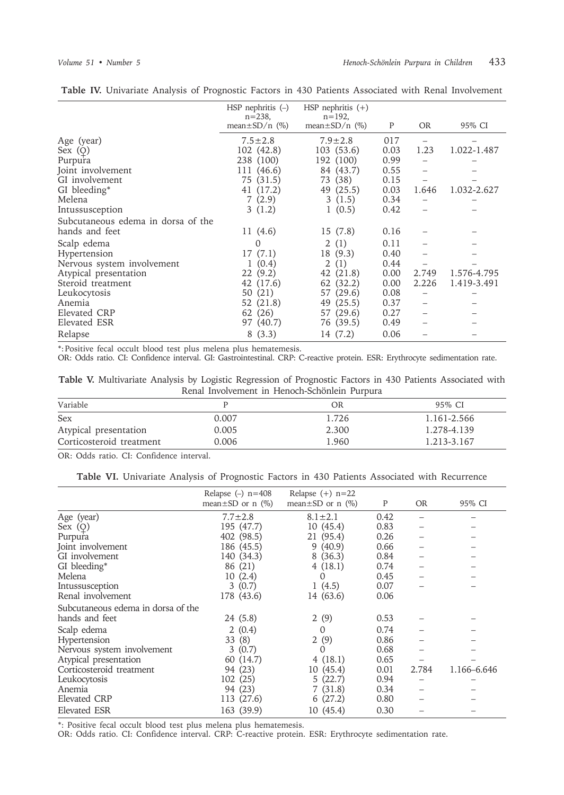|                                    | $HSP$ nephritis $(-)$<br>$n = 238$ ,<br>mean $\pm$ SD/n (%) | $HSP$ nephritis $(+)$<br>$n = 192$ ,<br>mean $\pm$ SD/n (%) | P    | <b>OR</b> | 95% CI      |
|------------------------------------|-------------------------------------------------------------|-------------------------------------------------------------|------|-----------|-------------|
| Age (year)                         | $7.5 \pm 2.8$                                               | $7.9 \pm 2.8$                                               | 017  |           |             |
| Sex $(Q)$                          | 102 (42.8)                                                  | 103 (53.6)                                                  | 0.03 | 1.23      | 1.022-1.487 |
| Purpura                            | 238 (100)                                                   | 192 (100)                                                   | 0.99 |           |             |
| Joint involvement                  | 111 (46.6)                                                  | 84 (43.7)                                                   | 0.55 |           |             |
| GI involvement                     | 75 (31.5)                                                   | 73 (38)                                                     | 0.15 |           |             |
| GI bleeding*                       | 41 (17.2)                                                   | 49 (25.5)                                                   | 0.03 | 1.646     | 1.032-2.627 |
| Melena                             | 7(2.9)                                                      | 3(1.5)                                                      | 0.34 |           |             |
| Intussusception                    | 3(1.2)                                                      | 1(0.5)                                                      | 0.42 |           |             |
| Subcutaneous edema in dorsa of the |                                                             |                                                             |      |           |             |
| hands and feet                     | 11 (4.6)                                                    | 15(7.8)                                                     | 0.16 |           |             |
| Scalp edema                        | 0                                                           | 2(1)                                                        | 0.11 |           |             |
| Hypertension                       | 17(7.1)                                                     | 18 (9.3)                                                    | 0.40 |           |             |
| Nervous system involvement         | 1(0.4)                                                      | $\overline{2}$<br>(1)                                       | 0.44 |           |             |
| Atypical presentation              | 22(9.2)                                                     | 42 (21.8)                                                   | 0.00 | 2.749     | 1.576-4.795 |
| Steroid treatment                  | 42 (17.6)                                                   | 62 (32.2)                                                   | 0.00 | 2.226     | 1.419-3.491 |
| Leukocytosis                       | 50 (21)                                                     | 57 (29.6)                                                   | 0.08 |           |             |
| Anemia                             | 52 (21.8)                                                   | (25.5)<br>49                                                | 0.37 |           |             |
| Elevated CRP                       | 62 (26)                                                     | 57 (29.6)                                                   | 0.27 |           |             |
| Elevated ESR                       | 97 (40.7)                                                   | 76 (39.5)                                                   | 0.49 |           |             |
| Relapse                            | 8(3.3)                                                      | 14 (7.2)                                                    | 0.06 |           |             |

**Table IV.** Univariate Analysis of Prognostic Factors in 430 Patients Associated with Renal Involvement

\*: Positive fecal occult blood test plus melena plus hematemesis.

OR: Odds ratio. CI: Confidence interval. GI: Gastrointestinal. CRP: C-reactive protein. ESR: Erythrocyte sedimentation rate.

|  | Table V. Multivariate Analysis by Logistic Regression of Prognostic Factors in 430 Patients Associated with |  |  |                                               |  |  |  |
|--|-------------------------------------------------------------------------------------------------------------|--|--|-----------------------------------------------|--|--|--|
|  |                                                                                                             |  |  | Renal Involvement in Henoch-Schönlein Purpura |  |  |  |

| Variable                 |       | OR    | 95% CI      |
|--------------------------|-------|-------|-------------|
| Sex                      | 0.007 | 1.726 | 1.161-2.566 |
| Atypical presentation    | 0.005 | 2.300 | 1.278-4.139 |
| Corticosteroid treatment | 0.006 | 1.960 | 1.213-3.167 |

OR: Odds ratio. CI: Confidence interval.

|  |  |  |  |  | Table VI. Univariate Analysis of Prognostic Factors in 430 Patients Associated with Recurrence |  |  |  |  |  |  |  |
|--|--|--|--|--|------------------------------------------------------------------------------------------------|--|--|--|--|--|--|--|
|--|--|--|--|--|------------------------------------------------------------------------------------------------|--|--|--|--|--|--|--|

|                                    | Relapse $(-)$ n=408       | Relapse $(+)$ n=22        |      |           |             |
|------------------------------------|---------------------------|---------------------------|------|-----------|-------------|
|                                    | mean $\pm$ SD or n $(\%)$ | mean $\pm$ SD or n $(\%)$ | P    | <b>OR</b> | 95% CI      |
| Age (year)                         | $7.7 \pm 2.8$             | $8.1 \pm 2.1$             | 0.42 |           |             |
| Sex $(Q)$                          | 195 (47.7)                | 10(45.4)                  | 0.83 |           |             |
| Purpura                            | 402 (98.5)                | 21 (95.4)                 | 0.26 |           |             |
| Joint involvement                  | 186 (45.5)                | 9(40.9)                   | 0.66 |           |             |
| GI involvement                     | 140 (34.3)                | 8(36.3)                   | 0.84 |           |             |
| GI bleeding*                       | 86 (21)                   | 4(18.1)                   | 0.74 |           |             |
| Melena                             | 10(2.4)                   | $\Omega$                  | 0.45 |           |             |
| Intussusception                    | 3(0.7)                    | 1(4.5)                    | 0.07 |           |             |
| Renal involvement                  | 178 (43.6)                | 14 (63.6)                 | 0.06 |           |             |
| Subcutaneous edema in dorsa of the |                           |                           |      |           |             |
| hands and feet                     | 24(5.8)                   | 2(9)                      | 0.53 |           |             |
| Scalp edema                        | 2(0.4)                    | $\Omega$                  | 0.74 |           |             |
| Hypertension                       | 33(8)                     | 2(9)                      | 0.86 |           |             |
| Nervous system involvement         | 3(0.7)                    | $\Omega$                  | 0.68 |           |             |
| Atypical presentation              | 60 (14.7)                 | 4(18.1)                   | 0.65 |           |             |
| Corticosteroid treatment           | 94 (23)                   | 10 (45.4)                 | 0.01 | 2.784     | 1.166–6.646 |
| Leukocytosis                       | 102(25)                   | 5(22.7)                   | 0.94 |           |             |
| Anemia                             | 94 (23)                   | 7(31.8)                   | 0.34 |           |             |
| Elevated CRP                       | 113 (27.6)                | 6(27.2)                   | 0.80 |           |             |
| <b>Elevated ESR</b>                | 163 (39.9)                | 10 (45.4)                 | 0.30 |           |             |

\*: Positive fecal occult blood test plus melena plus hematemesis.

OR: Odds ratio. CI: Confidence interval. CRP: C-reactive protein. ESR: Erythrocyte sedimentation rate.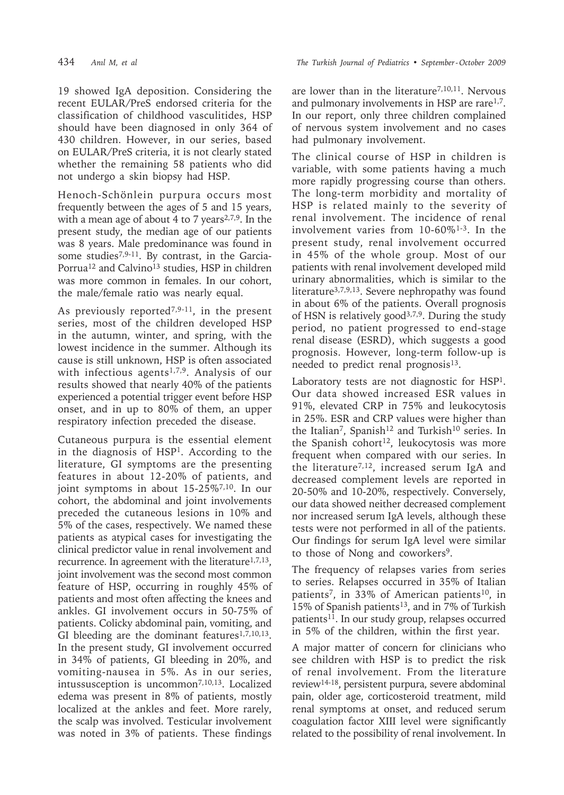19 showed IgA deposition. Considering the recent EULAR/PreS endorsed criteria for the classification of childhood vasculitides, HSP should have been diagnosed in only 364 of 430 children. However, in our series, based on EULAR/PreS criteria, it is not clearly stated whether the remaining 58 patients who did not undergo a skin biopsy had HSP.

Henoch-Schönlein purpura occurs most frequently between the ages of 5 and 15 years, with a mean age of about 4 to 7 years<sup>2,7,9</sup>. In the present study, the median age of our patients was 8 years. Male predominance was found in some studies7,9-11. By contrast, in the Garcia-Porrua<sup>12</sup> and Calvino<sup>13</sup> studies, HSP in children was more common in females. In our cohort, the male/female ratio was nearly equal.

As previously reported<sup>7,9-11</sup>, in the present series, most of the children developed HSP in the autumn, winter, and spring, with the lowest incidence in the summer. Although its cause is still unknown, HSP is often associated with infectious agents<sup>1,7,9</sup>. Analysis of our results showed that nearly 40% of the patients experienced a potential trigger event before HSP onset, and in up to 80% of them, an upper respiratory infection preceded the disease.

Cutaneous purpura is the essential element in the diagnosis of HSP1. According to the literature, GI symptoms are the presenting features in about 12-20% of patients, and joint symptoms in about 15-25%<sup>7,10</sup>. In our cohort, the abdominal and joint involvements preceded the cutaneous lesions in 10% and 5% of the cases, respectively. We named these patients as atypical cases for investigating the clinical predictor value in renal involvement and recurrence. In agreement with the literature<sup>1,7,13</sup>, joint involvement was the second most common feature of HSP, occurring in roughly 45% of patients and most often affecting the knees and ankles. GI involvement occurs in 50-75% of patients. Colicky abdominal pain, vomiting, and GI bleeding are the dominant features $1,7,10,13$ . In the present study, GI involvement occurred in 34% of patients, GI bleeding in 20%, and vomiting-nausea in 5%. As in our series, intussusception is uncommon<sup>7,10,13</sup>. Localized edema was present in 8% of patients, mostly localized at the ankles and feet. More rarely, the scalp was involved. Testicular involvement was noted in 3% of patients. These findings

are lower than in the literature<sup>7,10,11</sup>. Nervous and pulmonary involvements in HSP are rare1,7. In our report, only three children complained of nervous system involvement and no cases had pulmonary involvement.

The clinical course of HSP in children is variable, with some patients having a much more rapidly progressing course than others. The long-term morbidity and mortality of HSP is related mainly to the severity of renal involvement. The incidence of renal involvement varies from 10-60%1-3. In the present study, renal involvement occurred in 45% of the whole group. Most of our patients with renal involvement developed mild urinary abnormalities, which is similar to the literature3,7,9,13. Severe nephropathy was found in about 6% of the patients. Overall prognosis of HSN is relatively good3,7,9. During the study period, no patient progressed to end-stage renal disease (ESRD), which suggests a good prognosis. However, long-term follow-up is needed to predict renal prognosis<sup>13</sup>.

Laboratory tests are not diagnostic for HSP1. Our data showed increased ESR values in 91%, elevated CRP in 75% and leukocytosis in 25%. ESR and CRP values were higher than the Italian<sup>7</sup>, Spanish<sup>12</sup> and Turkish<sup>10</sup> series. In the Spanish cohort<sup>12</sup>, leukocytosis was more frequent when compared with our series. In the literature7,12, increased serum IgA and decreased complement levels are reported in 20-50% and 10-20%, respectively. Conversely, our data showed neither decreased complement nor increased serum IgA levels, although these tests were not performed in all of the patients. Our findings for serum IgA level were similar to those of Nong and coworkers9.

The frequency of relapses varies from series to series. Relapses occurred in 35% of Italian patients<sup>7</sup>, in 33% of American patients<sup>10</sup>, in 15% of Spanish patients<sup>13</sup>, and in 7% of Turkish patients<sup>11</sup>. In our study group, relapses occurred in 5% of the children, within the first year.

A major matter of concern for clinicians who see children with HSP is to predict the risk of renal involvement. From the literature review14-18, persistent purpura, severe abdominal pain, older age, corticosteroid treatment, mild renal symptoms at onset, and reduced serum coagulation factor XIII level were significantly related to the possibility of renal involvement. In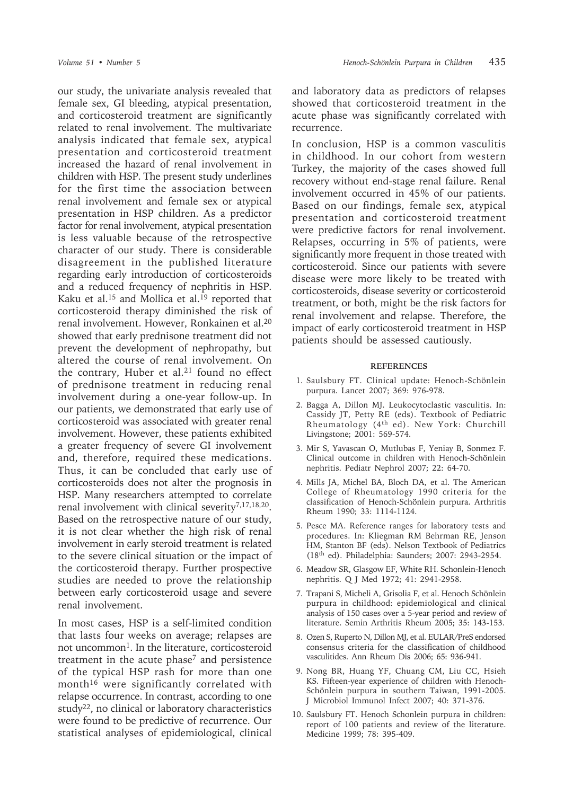our study, the univariate analysis revealed that female sex, GI bleeding, atypical presentation, and corticosteroid treatment are significantly related to renal involvement. The multivariate analysis indicated that female sex, atypical presentation and corticosteroid treatment increased the hazard of renal involvement in children with HSP. The present study underlines for the first time the association between renal involvement and female sex or atypical presentation in HSP children. As a predictor factor for renal involvement, atypical presentation is less valuable because of the retrospective character of our study. There is considerable disagreement in the published literature regarding early introduction of corticosteroids and a reduced frequency of nephritis in HSP. Kaku et al.<sup>15</sup> and Mollica et al.<sup>19</sup> reported that corticosteroid therapy diminished the risk of renal involvement. However, Ronkainen et al.20 showed that early prednisone treatment did not prevent the development of nephropathy, but altered the course of renal involvement. On the contrary, Huber et al.<sup>21</sup> found no effect of prednisone treatment in reducing renal involvement during a one-year follow-up. In our patients, we demonstrated that early use of corticosteroid was associated with greater renal involvement. However, these patients exhibited a greater frequency of severe GI involvement and, therefore, required these medications. Thus, it can be concluded that early use of corticosteroids does not alter the prognosis in HSP. Many researchers attempted to correlate renal involvement with clinical severity7,17,18,20. Based on the retrospective nature of our study, it is not clear whether the high risk of renal involvement in early steroid treatment is related to the severe clinical situation or the impact of the corticosteroid therapy. Further prospective studies are needed to prove the relationship between early corticosteroid usage and severe renal involvement.

In most cases, HSP is a self-limited condition that lasts four weeks on average; relapses are not uncommon<sup>1</sup>. In the literature, corticosteroid treatment in the acute phase<sup>7</sup> and persistence of the typical HSP rash for more than one month<sup>16</sup> were significantly correlated with relapse occurrence. In contrast, according to one study<sup>22</sup>, no clinical or laboratory characteristics were found to be predictive of recurrence. Our statistical analyses of epidemiological, clinical

and laboratory data as predictors of relapses showed that corticosteroid treatment in the acute phase was significantly correlated with recurrence.

In conclusion, HSP is a common vasculitis in childhood. In our cohort from western Turkey, the majority of the cases showed full recovery without end-stage renal failure. Renal involvement occurred in 45% of our patients. Based on our findings, female sex, atypical presentation and corticosteroid treatment were predictive factors for renal involvement. Relapses, occurring in 5% of patients, were significantly more frequent in those treated with corticosteroid. Since our patients with severe disease were more likely to be treated with corticosteroids, disease severity or corticosteroid treatment, or both, might be the risk factors for renal involvement and relapse. Therefore, the impact of early corticosteroid treatment in HSP patients should be assessed cautiously.

#### **REFERENCES**

- 1. Saulsbury FT. Clinical update: Henoch-Schönlein purpura. Lancet 2007; 369: 976-978.
- 2. Bagga A, Dillon MJ. Leukocytoclastic vasculitis. In: Cassidy JT, Petty RE (eds). Textbook of Pediatric Rheumatology (4th ed). New York: Churchill Livingstone; 2001: 569-574.
- 3. Mir S, Yavascan O, Mutlubas F, Yeniay B, Sonmez F. Clinical outcome in children with Henoch-Schönlein nephritis. Pediatr Nephrol 2007; 22: 64-70.
- 4. Mills JA, Michel BA, Bloch DA, et al. The American College of Rheumatology 1990 criteria for the classification of Henoch-Schönlein purpura. Arthritis Rheum 1990; 33: 1114-1124.
- 5. Pesce MA. Reference ranges for laboratory tests and procedures. In: Kliegman RM Behrman RE, Jenson HM, Stanton BF (eds). Nelson Textbook of Pediatrics (18th ed). Philadelphia: Saunders; 2007: 2943-2954.
- 6. Meadow SR, Glasgow EF, White RH. Schonlein-Henoch nephritis. Q J Med 1972; 41: 2941-2958.
- 7. Trapani S, Micheli A, Grisolia F, et al. Henoch Schönlein purpura in childhood: epidemiological and clinical analysis of 150 cases over a 5-year period and review of literature. Semin Arthritis Rheum 2005; 35: 143-153.
- 8. Ozen S, Ruperto N, Dillon MJ, et al. EULAR/PreS endorsed consensus criteria for the classification of childhood vasculitides. Ann Rheum Dis 2006; 65: 936-941.
- 9. Nong BR, Huang YF, Chuang CM, Liu CC, Hsieh KS. Fifteen-year experience of children with Henoch-Schönlein purpura in southern Taiwan, 1991-2005. J Microbiol Immunol Infect 2007; 40: 371-376.
- 10. Saulsbury FT. Henoch Schonlein purpura in children: report of 100 patients and review of the literature. Medicine 1999; 78: 395-409.